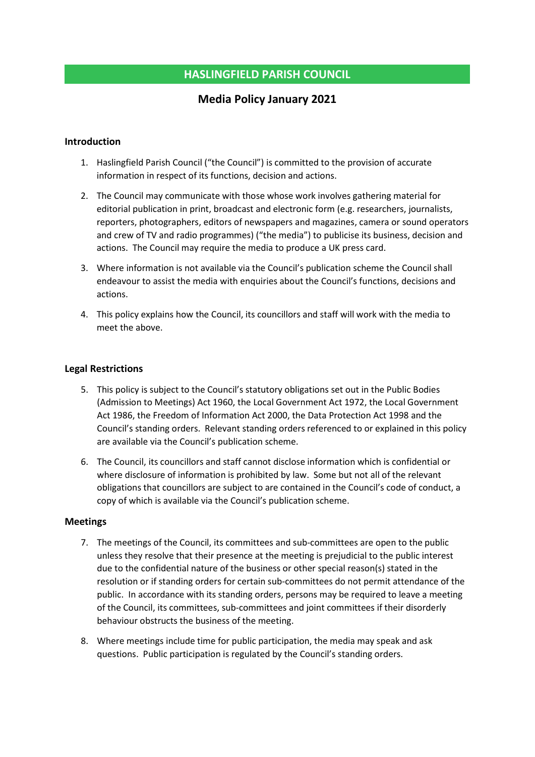## HASLINGFIELD PARISH COUNCIL

# Media Policy January 2021

### Introduction

- 1. Haslingfield Parish Council ("the Council") is committed to the provision of accurate information in respect of its functions, decision and actions.
- 2. The Council may communicate with those whose work involves gathering material for editorial publication in print, broadcast and electronic form (e.g. researchers, journalists, reporters, photographers, editors of newspapers and magazines, camera or sound operators and crew of TV and radio programmes) ("the media") to publicise its business, decision and actions. The Council may require the media to produce a UK press card.
- 3. Where information is not available via the Council's publication scheme the Council shall endeavour to assist the media with enquiries about the Council's functions, decisions and actions.
- 4. This policy explains how the Council, its councillors and staff will work with the media to meet the above.

### Legal Restrictions

- 5. This policy is subject to the Council's statutory obligations set out in the Public Bodies (Admission to Meetings) Act 1960, the Local Government Act 1972, the Local Government Act 1986, the Freedom of Information Act 2000, the Data Protection Act 1998 and the Council's standing orders. Relevant standing orders referenced to or explained in this policy are available via the Council's publication scheme.
- 6. The Council, its councillors and staff cannot disclose information which is confidential or where disclosure of information is prohibited by law. Some but not all of the relevant obligations that councillors are subject to are contained in the Council's code of conduct, a copy of which is available via the Council's publication scheme.

#### Meetings

- 7. The meetings of the Council, its committees and sub-committees are open to the public unless they resolve that their presence at the meeting is prejudicial to the public interest due to the confidential nature of the business or other special reason(s) stated in the resolution or if standing orders for certain sub-committees do not permit attendance of the public. In accordance with its standing orders, persons may be required to leave a meeting of the Council, its committees, sub-committees and joint committees if their disorderly behaviour obstructs the business of the meeting.
- 8. Where meetings include time for public participation, the media may speak and ask questions. Public participation is regulated by the Council's standing orders.